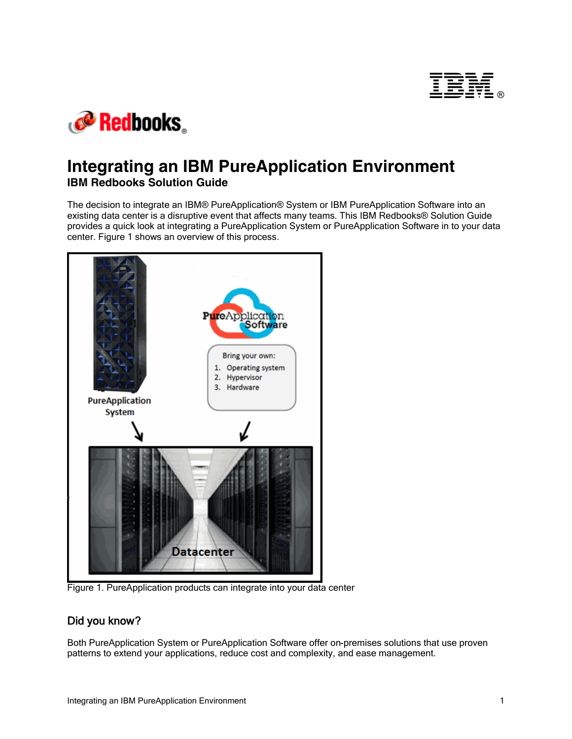



## **Integrating an IBM PureApplication Environment IBM Redbooks Solution Guide**

The decision to integrate an IBM® PureApplication® System or IBM PureApplication Software into an existing data center is a disruptive event that affects many teams. This IBM Redbooks® Solution Guide provides a quick look at integrating a PureApplication System or PureApplication Software in to your data center. Figure 1 shows an overview of this process.



Figure 1. PureApplication products can integrate into your data center

## Did you know?

Both PureApplication System or PureApplication Software offer on-premises solutions that use proven patterns to extend your applications, reduce cost and complexity, and ease management.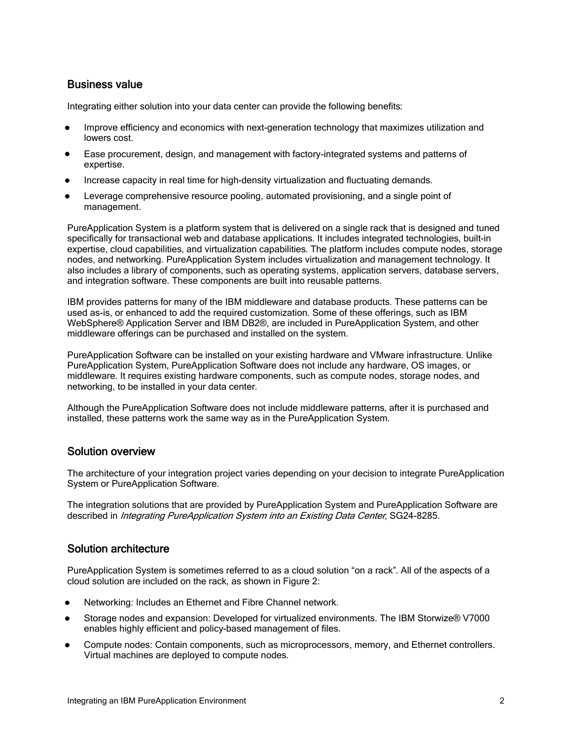## Business value

Integrating either solution into your data center can provide the following benefits:

- Improve efficiency and economics with next-generation technology that maximizes utilization and lowers cost.
- Ease procurement, design, and management with factory-integrated systems and patterns of expertise.
- Increase capacity in real time for high-density virtualization and fluctuating demands.
- Leverage comprehensive resource pooling, automated provisioning, and a single point of management.

PureApplication System is a platform system that is delivered on a single rack that is designed and tuned specifically for transactional web and database applications. It includes integrated technologies, built-in expertise, cloud capabilities, and virtualization capabilities. The platform includes compute nodes, storage nodes, and networking. PureApplication System includes virtualization and management technology. It also includes a library of components, such as operating systems, application servers, database servers, and integration software. These components are built into reusable patterns.

IBM provides patterns for many of the IBM middleware and database products. These patterns can be used as-is, or enhanced to add the required customization. Some of these offerings, such as IBM WebSphere® Application Server and IBM DB2®, are included in PureApplication System, and other middleware offerings can be purchased and installed on the system.

PureApplication Software can be installed on your existing hardware and VMware infrastructure. Unlike PureApplication System, PureApplication Software does not include any hardware, OS images, or middleware. It requires existing hardware components, such as compute nodes, storage nodes, and networking, to be installed in your data center.

Although the PureApplication Software does not include middleware patterns, after it is purchased and installed, these patterns work the same way as in the PureApplication System.

## Solution overview

The architecture of your integration project varies depending on your decision to integrate PureApplication System or PureApplication Software.

The integration solutions that are provided by PureApplication System and PureApplication Software are described in *Integrating PureApplication System into an Existing Data Center*, SG24-8285.

## Solution architecture

PureApplication System is sometimes referred to as a cloud solution "on a rack". All of the aspects of a cloud solution are included on the rack, as shown in Figure 2:

- Networking: Includes an Ethernet and Fibre Channel network.
- Storage nodes and expansion: Developed for virtualized environments. The IBM Storwize® V7000 enables highly efficient and policy-based management of files.
- Compute nodes: Contain components, such as microprocessors, memory, and Ethernet controllers. Virtual machines are deployed to compute nodes.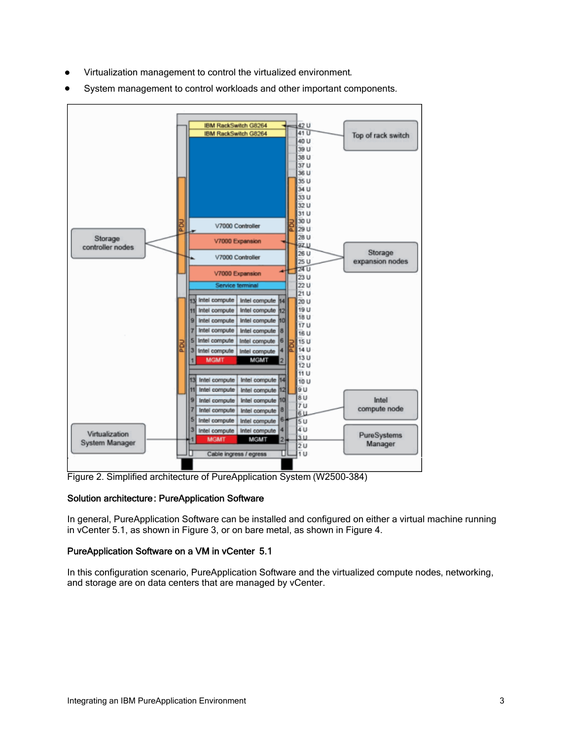- Virtualization management to control the virtualized environment.
- System management to control workloads and other important components.



Figure 2. Simplified architecture of PureApplication System (W2500-384)

#### Solution architecture: PureApplication Software

In general, PureApplication Software can be installed and configured on either a virtual machine running in vCenter 5.1, as shown in Figure 3, or on bare metal, as shown in Figure 4.

#### PureApplication Software on a VM in vCenter 5.1

In this configuration scenario, PureApplication Software and the virtualized compute nodes, networking, and storage are on data centers that are managed by vCenter.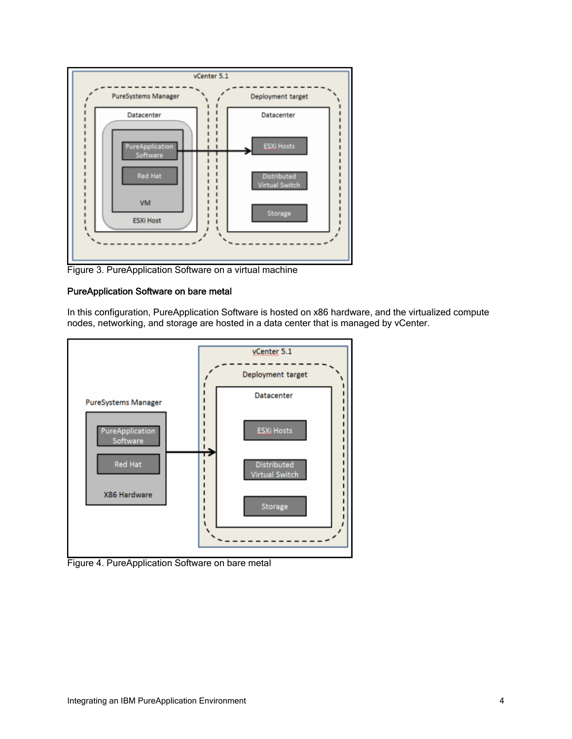

Figure 3. PureApplication Software on a virtual machine

#### PureApplication Software on bare metal

In this configuration, PureApplication Software is hosted on x86 hardware, and the virtualized compute nodes, networking, and storage are hosted in a data center that is managed by vCenter.



Figure 4. PureApplication Software on bare metal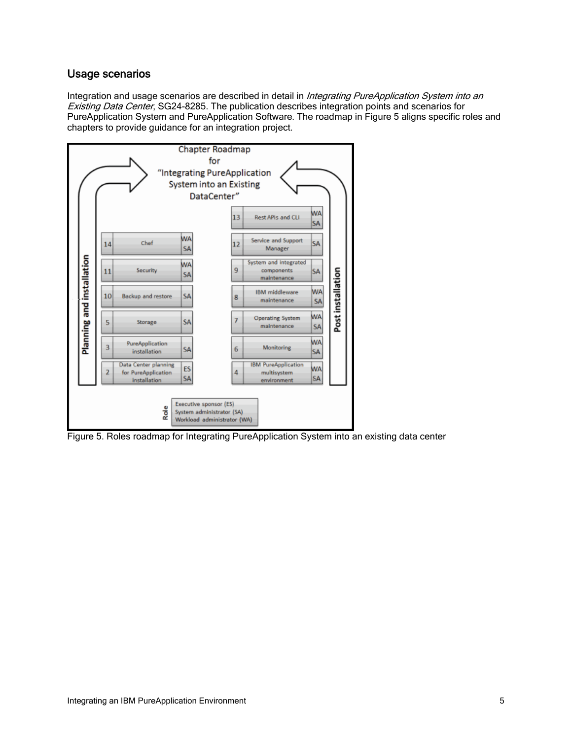## Usage scenarios

Integration and usage scenarios are described in detail in Integrating PureApplication System into an Existing Data Center, SG24-8285. The publication describes integration points and scenarios for PureApplication System and PureApplication Software. The roadmap in Figure 5 aligns specific roles and chapters to provide guidance for an integration project.



Figure 5. Roles roadmap for Integrating PureApplication System into an existing data center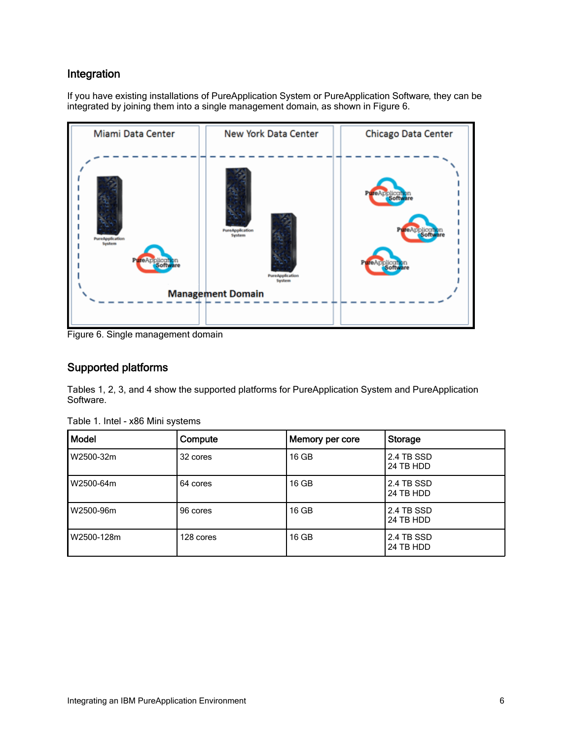## Integration

If you have existing installations of PureApplication System or PureApplication Software, they can be integrated by joining them into a single management domain, as shown in Figure 6.



Figure 6. Single management domain

## Supported platforms

Tables 1, 2, 3, and 4 show the supported platforms for PureApplication System and PureApplication Software.

| <b>Model</b> | Compute   | Memory per core | Storage                 |
|--------------|-----------|-----------------|-------------------------|
| W2500-32m    | 32 cores  | $16$ GB         | 2.4 TB SSD<br>24 TB HDD |
| W2500-64m    | 64 cores  | 16 GB           | 2.4 TB SSD<br>24 TB HDD |
| W2500-96m    | 96 cores  | 16 GB           | 2.4 TB SSD<br>24 TB HDD |
| W2500-128m   | 128 cores | $16$ GB         | 2.4 TB SSD<br>24 TB HDD |

Table 1. Intel - x86 Mini systems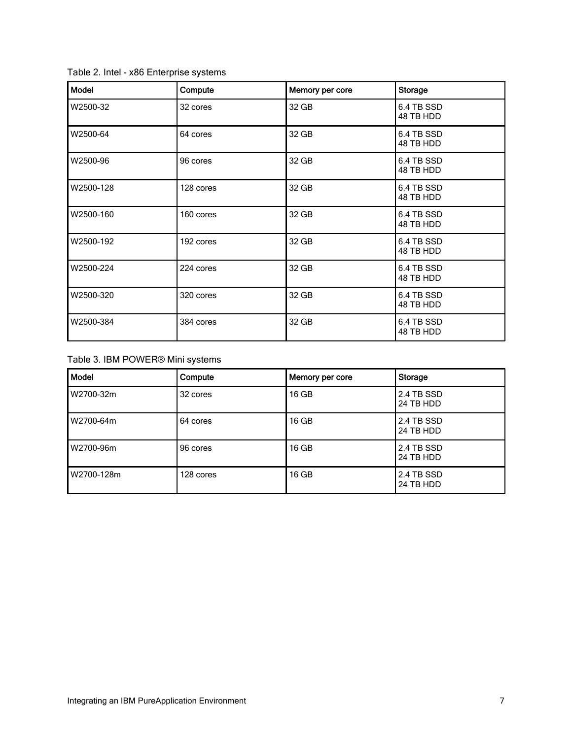| Table 2. Intel - x86 Enterprise systems |
|-----------------------------------------|
|-----------------------------------------|

| Model     | Compute   | Memory per core | <b>Storage</b>          |
|-----------|-----------|-----------------|-------------------------|
| W2500-32  | 32 cores  | 32 GB           | 6.4 TB SSD<br>48 TB HDD |
| W2500-64  | 64 cores  | 32 GB           | 6.4 TB SSD<br>48 TB HDD |
| W2500-96  | 96 cores  | 32 GB           | 6.4 TB SSD<br>48 TB HDD |
| W2500-128 | 128 cores | 32 GB           | 6.4 TB SSD<br>48 TB HDD |
| W2500-160 | 160 cores | 32 GB           | 6.4 TB SSD<br>48 TB HDD |
| W2500-192 | 192 cores | 32 GB           | 6.4 TB SSD<br>48 TB HDD |
| W2500-224 | 224 cores | 32 GB           | 6.4 TB SSD<br>48 TB HDD |
| W2500-320 | 320 cores | 32 GB           | 6.4 TB SSD<br>48 TB HDD |
| W2500-384 | 384 cores | 32 GB           | 6.4 TB SSD<br>48 TB HDD |

Table 3. IBM POWER® Mini systems

| <b>Model</b> | Compute   | Memory per core | Storage                 |
|--------------|-----------|-----------------|-------------------------|
| W2700-32m    | 32 cores  | $16$ GB         | 2.4 TB SSD<br>24 TB HDD |
| W2700-64m    | 64 cores  | 16 GB           | 2.4 TB SSD<br>24 TB HDD |
| W2700-96m    | 96 cores  | 16 GB           | 2.4 TB SSD<br>24 TB HDD |
| W2700-128m   | 128 cores | $16$ GB         | 2.4 TB SSD<br>24 TB HDD |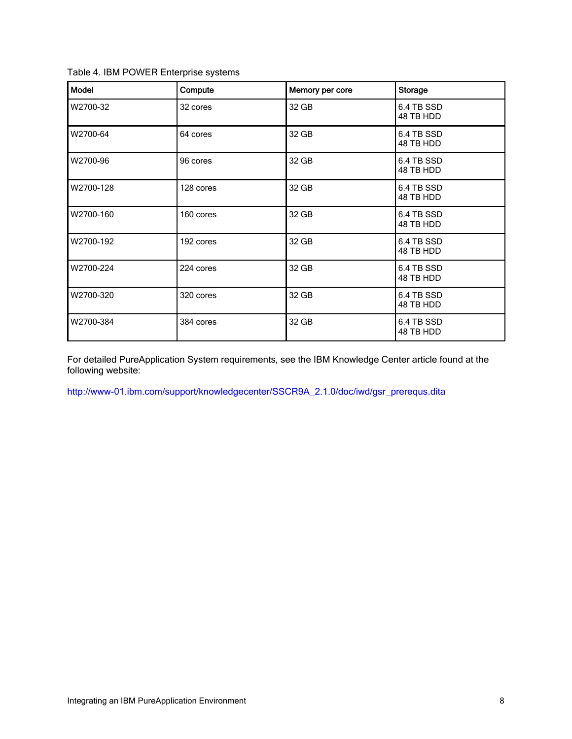| Table 4. IBM POWER Enterprise systems |  |
|---------------------------------------|--|
|                                       |  |

| <b>Model</b> | Compute   | Memory per core | <b>Storage</b>          |
|--------------|-----------|-----------------|-------------------------|
| W2700-32     | 32 cores  | 32 GB           | 6.4 TB SSD<br>48 TB HDD |
| W2700-64     | 64 cores  | 32 GB           | 6.4 TB SSD<br>48 TB HDD |
| W2700-96     | 96 cores  | 32 GB           | 6.4 TB SSD<br>48 TB HDD |
| W2700-128    | 128 cores | 32 GB           | 6.4 TB SSD<br>48 TB HDD |
| W2700-160    | 160 cores | 32 GB           | 6.4 TB SSD<br>48 TB HDD |
| W2700-192    | 192 cores | 32 GB           | 6.4 TB SSD<br>48 TB HDD |
| W2700-224    | 224 cores | 32 GB           | 6.4 TB SSD<br>48 TB HDD |
| W2700-320    | 320 cores | 32 GB           | 6.4 TB SSD<br>48 TB HDD |
| W2700-384    | 384 cores | 32 GB           | 6.4 TB SSD<br>48 TB HDD |

For detailed PureApplication System requirements, see the IBM Knowledge Center article found at the following website:

http://www-01.ibm.com/support/knowledgecenter/SSCR9A\_2.1.0/doc/iwd/gsr\_prerequs.dita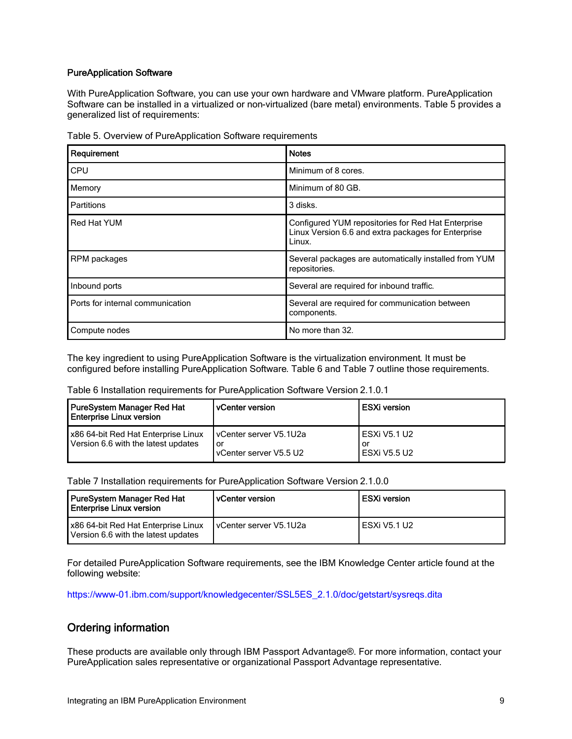#### PureApplication Software

With PureApplication Software, you can use your own hardware and VMware platform. PureApplication Software can be installed in a virtualized or non-virtualized (bare metal) environments. Table 5 provides a generalized list of requirements:

| Requirement                      | <b>Notes</b>                                                                                                        |
|----------------------------------|---------------------------------------------------------------------------------------------------------------------|
| <b>CPU</b>                       | Minimum of 8 cores.                                                                                                 |
| Memory                           | Minimum of 80 GB.                                                                                                   |
| <b>Partitions</b>                | 3 disks.                                                                                                            |
| Red Hat YUM                      | Configured YUM repositories for Red Hat Enterprise<br>Linux Version 6.6 and extra packages for Enterprise<br>Linux. |
| RPM packages                     | Several packages are automatically installed from YUM<br>repositories.                                              |
| Inbound ports                    | Several are required for inbound traffic.                                                                           |
| Ports for internal communication | Several are required for communication between<br>components.                                                       |
| Compute nodes                    | No more than 32.                                                                                                    |

Table 5. Overview of PureApplication Software requirements

The key ingredient to using PureApplication Software is the virtualization environment. It must be configured before installing PureApplication Software. Table 6 and Table 7 outline those requirements.

Table 6 Installation requirements for PureApplication Software Version 2.1.0.1

| PureSystem Manager Red Hat<br><b>Enterprise Linux version</b>              | <b>vCenter version</b>                                   | <b>ESXi version</b>                    |
|----------------------------------------------------------------------------|----------------------------------------------------------|----------------------------------------|
| x86 64-bit Red Hat Enterprise Linux<br>Version 6.6 with the latest updates | I vCenter server V5.1U2a<br>or<br>vCenter server V5.5 U2 | l ESXi V5.1 U2<br>or<br>l ESXi V5.5 U2 |

Table 7 Installation requirements for PureApplication Software Version 2.1.0.0

| PureSystem Manager Red Hat<br><b>Enterprise Linux version</b>              | l vCenter version        | ESXi version   |
|----------------------------------------------------------------------------|--------------------------|----------------|
| x86 64-bit Red Hat Enterprise Linux<br>Version 6.6 with the latest updates | I vCenter server V5.1U2a | l ESXi V5.1 U2 |

For detailed PureApplication Software requirements, see the IBM Knowledge Center article found at the following website:

https://www-01.ibm.com/support/knowledgecenter/SSL5ES\_2.1.0/doc/getstart/sysreqs.dita

## Ordering information

These products are available only through IBM Passport Advantage®. For more information, contact your PureApplication sales representative or organizational Passport Advantage representative.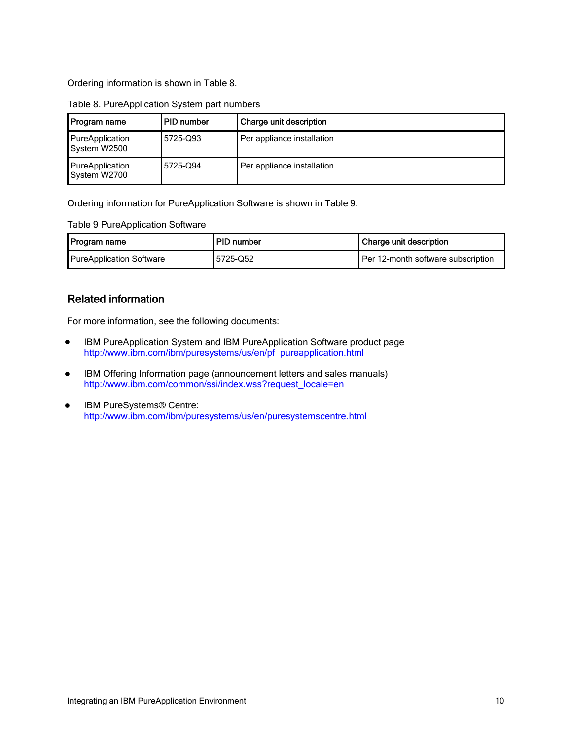Ordering information is shown in Table 8.

| , Program name                  | PID number | Charge unit description    |
|---------------------------------|------------|----------------------------|
| PureApplication<br>System W2500 | 5725-Q93   | Per appliance installation |
| PureApplication<br>System W2700 | 5725-Q94   | Per appliance installation |

#### Table 8. PureApplication System part numbers

Ordering information for PureApplication Software is shown in Table 9.

Table 9 PureApplication Software

| l Program name           | PID number | l Charge unit description          |
|--------------------------|------------|------------------------------------|
| PureApplication Software | ا 5725-Q52 | Per 12-month software subscription |

## Related information

For more information, see the following documents:

- IBM PureApplication System and IBM PureApplication Software product page http://www.ibm.com/ibm/puresystems/us/en/pf\_pureapplication.html
- IBM Offering Information page (announcement letters and sales manuals) http://www.ibm.com/common/ssi/index.wss?request\_locale=en
- IBM PureSystems<sup>®</sup> Centre: http://www.ibm.com/ibm/puresystems/us/en/puresystemscentre.html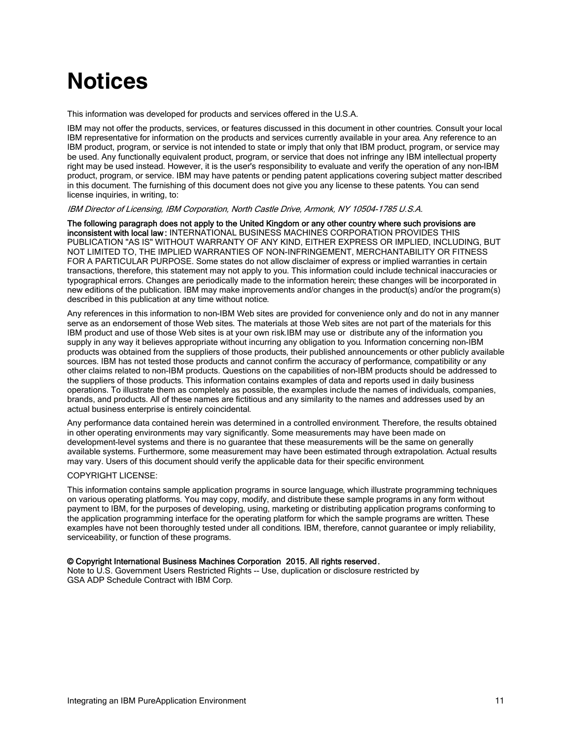# **Notices**

This information was developed for products and services offered in the U.S.A.

IBM may not offer the products, services, or features discussed in this document in other countries. Consult your local IBM representative for information on the products and services currently available in your area. Any reference to an IBM product, program, or service is not intended to state or imply that only that IBM product, program, or service may be used. Any functionally equivalent product, program, or service that does not infringe any IBM intellectual property right may be used instead. However, it is the user's responsibility to evaluate and verify the operation of any non-IBM product, program, or service. IBM may have patents or pending patent applications covering subject matter described in this document. The furnishing of this document does not give you any license to these patents. You can send license inquiries, in writing, to:

IBM Director of Licensing, IBM Corporation, North Castle Drive, Armonk, NY 10504-1785 U.S.A.

The following paragraph does not apply to the United Kingdom or any other country where such provisions are inconsistent with local law : INTERNATIONAL BUSINESS MACHINES CORPORATION PROVIDES THIS PUBLICATION "AS IS" WITHOUT WARRANTY OF ANY KIND, EITHER EXPRESS OR IMPLIED, INCLUDING, BUT NOT LIMITED TO, THE IMPLIED WARRANTIES OF NON-INFRINGEMENT, MERCHANTABILITY OR FITNESS FOR A PARTICULAR PURPOSE. Some states do not allow disclaimer of express or implied warranties in certain transactions, therefore, this statement may not apply to you. This information could include technical inaccuracies or typographical errors. Changes are periodically made to the information herein; these changes will be incorporated in new editions of the publication. IBM may make improvements and/or changes in the product(s) and/or the program(s) described in this publication at any time without notice.

Any references in this information to non-IBM Web sites are provided for convenience only and do not in any manner serve as an endorsement of those Web sites. The materials at those Web sites are not part of the materials for this IBM product and use of those Web sites is at your own risk.IBM may use or distribute any of the information you supply in any way it believes appropriate without incurring any obligation to you. Information concerning non-IBM products was obtained from the suppliers of those products, their published announcements or other publicly available sources. IBM has not tested those products and cannot confirm the accuracy of performance, compatibility or any other claims related to non-IBM products. Questions on the capabilities of non-IBM products should be addressed to the suppliers of those products. This information contains examples of data and reports used in daily business operations. To illustrate them as completely as possible, the examples include the names of individuals, companies, brands, and products. All of these names are fictitious and any similarity to the names and addresses used by an actual business enterprise is entirely coincidental.

Any performance data contained herein was determined in a controlled environment. Therefore, the results obtained in other operating environments may vary significantly. Some measurements may have been made on development-level systems and there is no guarantee that these measurements will be the same on generally available systems. Furthermore, some measurement may have been estimated through extrapolation. Actual results may vary. Users of this document should verify the applicable data for their specific environment.

#### COPYRIGHT LICENSE:

This information contains sample application programs in source language, which illustrate programming techniques on various operating platforms. You may copy, modify, and distribute these sample programs in any form without payment to IBM, for the purposes of developing, using, marketing or distributing application programs conforming to the application programming interface for the operating platform for which the sample programs are written. These examples have not been thoroughly tested under all conditions. IBM, therefore, cannot guarantee or imply reliability, serviceability, or function of these programs.

#### © Copyright International Business Machines Corporation 2015. All rights reserved.

Note to U.S. Government Users Restricted Rights -- Use, duplication or disclosure restricted by GSA ADP Schedule Contract with IBM Corp.